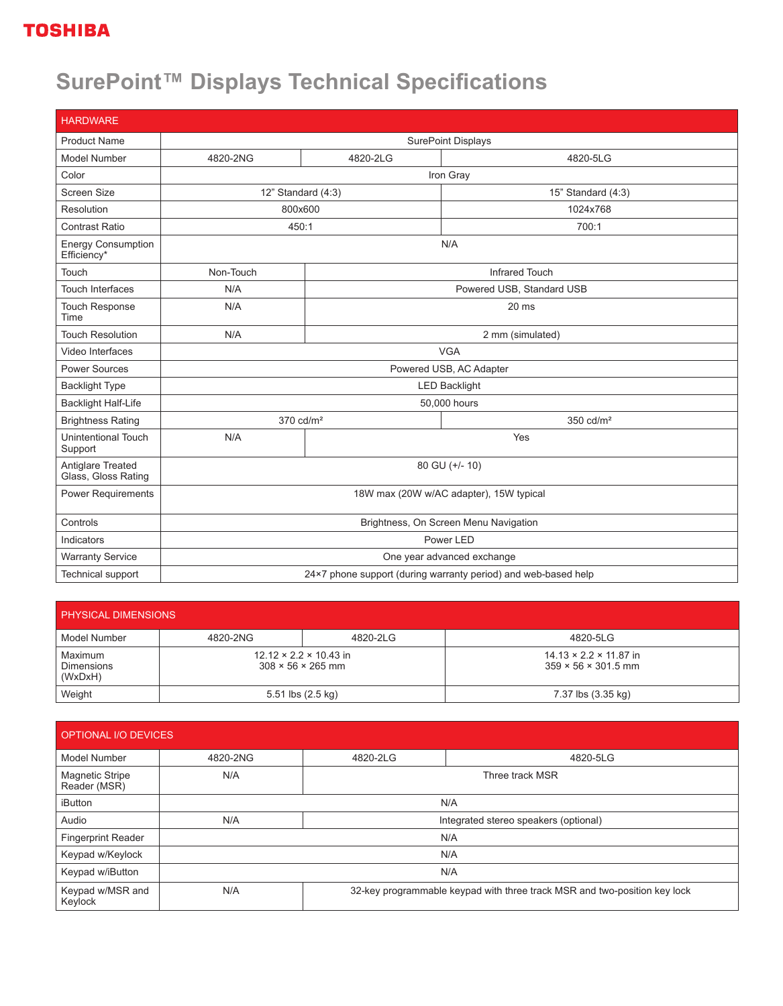## **TOSHIBA**

## **SurePoint™ Displays Technical Specifications**

| <b>HARDWARE</b>                          |                                                                |                           |                       |
|------------------------------------------|----------------------------------------------------------------|---------------------------|-----------------------|
| <b>Product Name</b>                      | SurePoint Displays                                             |                           |                       |
| Model Number                             | 4820-2NG                                                       | 4820-2LG                  | 4820-5LG              |
| Color                                    | Iron Gray                                                      |                           |                       |
| <b>Screen Size</b>                       | 12" Standard $(4:3)$                                           |                           | 15" Standard (4:3)    |
| Resolution                               | 800x600                                                        |                           | 1024x768              |
| <b>Contrast Ratio</b>                    | 450:1                                                          |                           | 700:1                 |
| <b>Energy Consumption</b><br>Efficiency* | N/A                                                            |                           |                       |
| Touch                                    | Non-Touch                                                      |                           | <b>Infrared Touch</b> |
| <b>Touch Interfaces</b>                  | N/A                                                            | Powered USB, Standard USB |                       |
| <b>Touch Response</b><br>Time            | N/A                                                            | 20 ms                     |                       |
| <b>Touch Resolution</b>                  | N/A                                                            | 2 mm (simulated)          |                       |
| Video Interfaces                         | <b>VGA</b>                                                     |                           |                       |
| <b>Power Sources</b>                     | Powered USB, AC Adapter                                        |                           |                       |
| <b>Backlight Type</b>                    | <b>LED Backlight</b>                                           |                           |                       |
| <b>Backlight Half-Life</b>               | 50,000 hours                                                   |                           |                       |
| <b>Brightness Rating</b>                 | 370 cd/m <sup>2</sup>                                          |                           | 350 cd/m <sup>2</sup> |
| Unintentional Touch<br>Support           | N/A                                                            |                           | Yes                   |
| Antiglare Treated<br>Glass, Gloss Rating | 80 GU (+/- 10)                                                 |                           |                       |
| Power Requirements                       | 18W max (20W w/AC adapter), 15W typical                        |                           |                       |
| Controls                                 | Brightness, On Screen Menu Navigation                          |                           |                       |
| Indicators                               | Power LED                                                      |                           |                       |
| <b>Warranty Service</b>                  | One year advanced exchange                                     |                           |                       |
| Technical support                        | 24×7 phone support (during warranty period) and web-based help |                           |                       |

| <b>PHYSICAL DIMENSIONS</b>              |                                                                     |          |                                                                       |  |  |
|-----------------------------------------|---------------------------------------------------------------------|----------|-----------------------------------------------------------------------|--|--|
| l Model Number                          | 4820-2NG                                                            | 4820-2LG | 4820-5LG                                                              |  |  |
| Maximum<br><b>Dimensions</b><br>(WxDxH) | $12.12 \times 2.2 \times 10.43$ in<br>$308 \times 56 \times 265$ mm |          | $14.13 \times 2.2 \times 11.87$ in<br>$359 \times 56 \times 301.5$ mm |  |  |
| Weight                                  | 5.51 lbs $(2.5 \text{ kg})$                                         |          | 7.37 lbs (3.35 kg)                                                    |  |  |

| OPTIONAL I/O DEVICES            |          |                                       |                                                                           |  |
|---------------------------------|----------|---------------------------------------|---------------------------------------------------------------------------|--|
| Model Number                    | 4820-2NG | 4820-2LG                              | 4820-5LG                                                                  |  |
| Magnetic Stripe<br>Reader (MSR) | N/A      | Three track MSR                       |                                                                           |  |
| iButton                         | N/A      |                                       |                                                                           |  |
| Audio                           | N/A      | Integrated stereo speakers (optional) |                                                                           |  |
| <b>Fingerprint Reader</b>       | N/A      |                                       |                                                                           |  |
| Keypad w/Keylock                | N/A      |                                       |                                                                           |  |
| Keypad w/iButton                | N/A      |                                       |                                                                           |  |
| Keypad w/MSR and<br>Keylock     | N/A      |                                       | 32-key programmable keypad with three track MSR and two-position key lock |  |